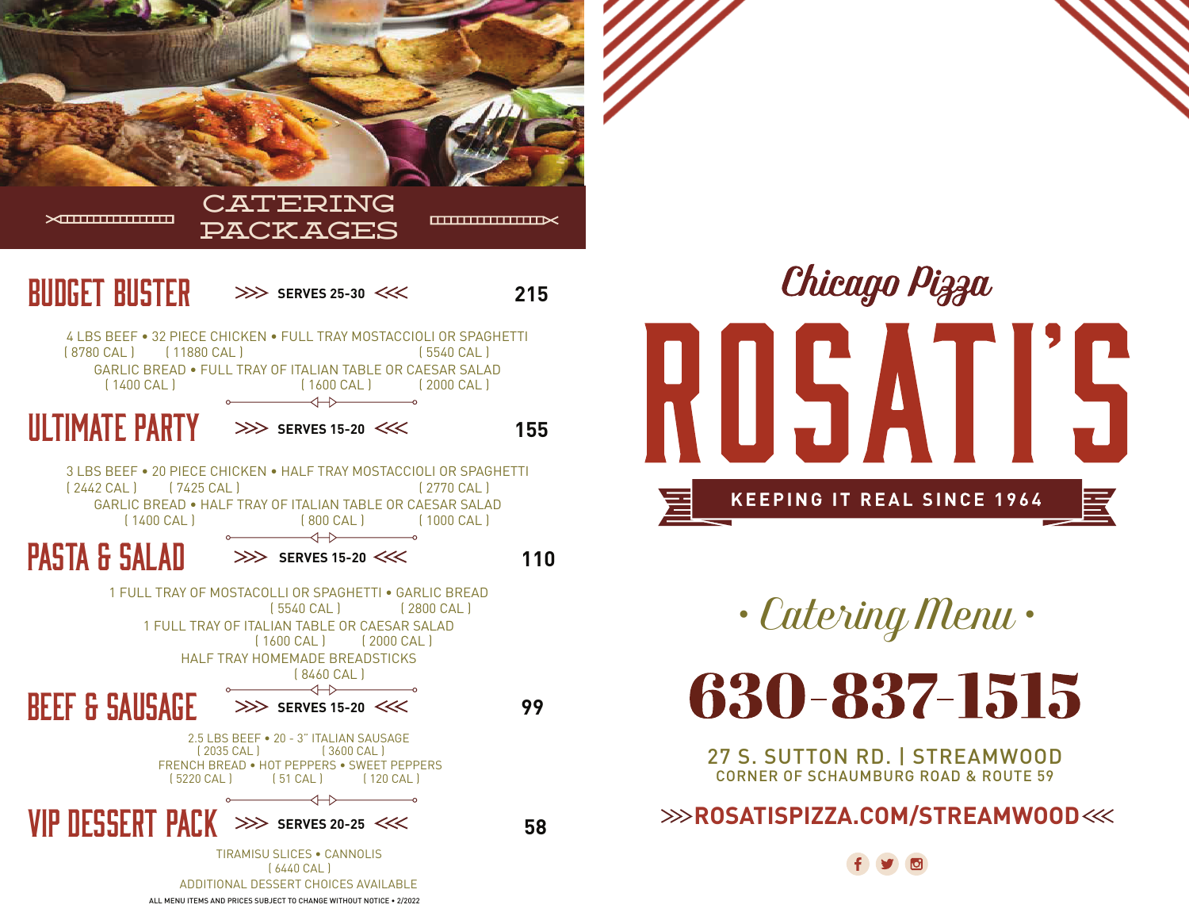

ALL MENU ITEMS AND PRICES SUBJECT TO CHANGE WITHOUT NOTICE • 2/2022



*• Catering Menu •*

630-837-1515

27 S. SUTTON RD. | STREAMWOOD CORNER OF SCHAUMBURG ROAD & ROUTE 59